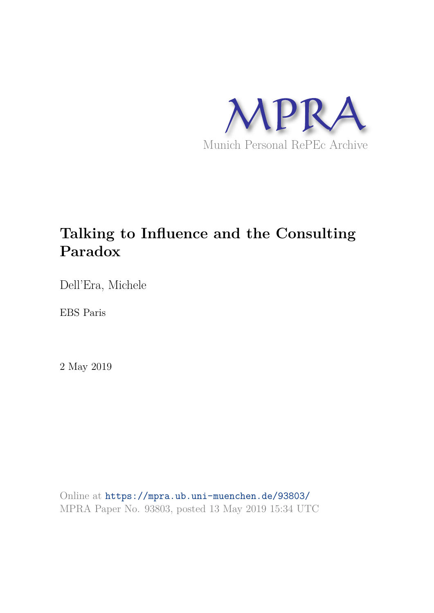

# **Talking to Influence and the Consulting Paradox**

Dell'Era, Michele

EBS Paris

2 May 2019

Online at https://mpra.ub.uni-muenchen.de/93803/ MPRA Paper No. 93803, posted 13 May 2019 15:34 UTC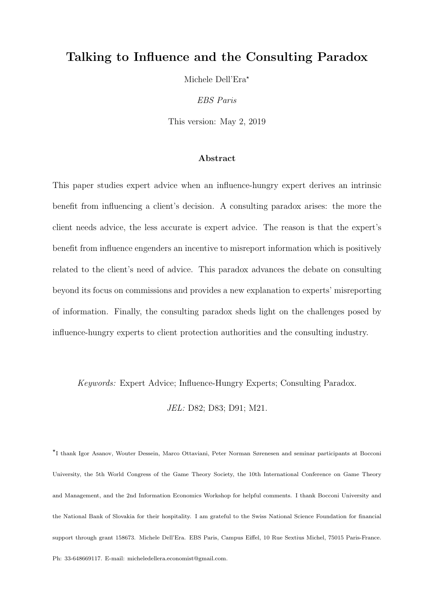# Talking to Influence and the Consulting Paradox

Michele Dell'Era\*

*EBS Paris*

This version: May 2, 2019

#### Abstract

This paper studies expert advice when an influence-hungry expert derives an intrinsic benefit from influencing a client's decision. A consulting paradox arises: the more the client needs advice, the less accurate is expert advice. The reason is that the expert's benefit from influence engenders an incentive to misreport information which is positively related to the client's need of advice. This paradox advances the debate on consulting beyond its focus on commissions and provides a new explanation to experts' misreporting of information. Finally, the consulting paradox sheds light on the challenges posed by influence-hungry experts to client protection authorities and the consulting industry.

*Keywords:* Expert Advice; Influence-Hungry Experts; Consulting Paradox.

*JEL:* D82; D83; D91; M21.

⋆ I thank Igor Asanov, Wouter Dessein, Marco Ottaviani, Peter Norman Sørenesen and seminar participants at Bocconi University, the 5th World Congress of the Game Theory Society, the 10th International Conference on Game Theory and Management, and the 2nd Information Economics Workshop for helpful comments. I thank Bocconi University and the National Bank of Slovakia for their hospitality. I am grateful to the Swiss National Science Foundation for financial support through grant 158673. Michele Dell'Era. EBS Paris, Campus Eiffel, 10 Rue Sextius Michel, 75015 Paris-France. Ph: 33-648669117. E-mail: micheledellera.economist@gmail.com.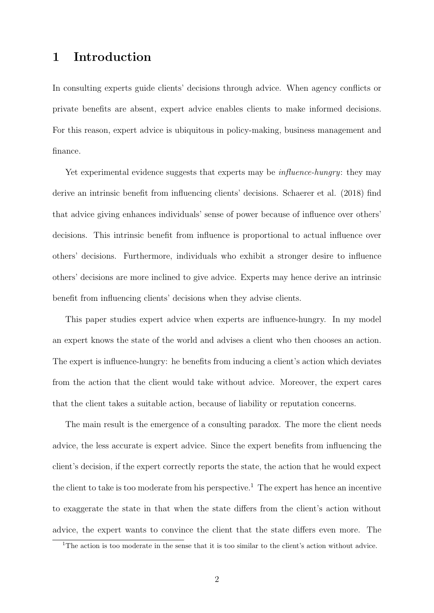# 1 Introduction

In consulting experts guide clients' decisions through advice. When agency conflicts or private benefits are absent, expert advice enables clients to make informed decisions. For this reason, expert advice is ubiquitous in policy-making, business management and finance.

Yet experimental evidence suggests that experts may be *influence-hungry*: they may derive an intrinsic benefit from influencing clients' decisions. Schaerer et al. (2018) find that advice giving enhances individuals' sense of power because of influence over others' decisions. This intrinsic benefit from influence is proportional to actual influence over others' decisions. Furthermore, individuals who exhibit a stronger desire to influence others' decisions are more inclined to give advice. Experts may hence derive an intrinsic benefit from influencing clients' decisions when they advise clients.

This paper studies expert advice when experts are influence-hungry. In my model an expert knows the state of the world and advises a client who then chooses an action. The expert is influence-hungry: he benefits from inducing a client's action which deviates from the action that the client would take without advice. Moreover, the expert cares that the client takes a suitable action, because of liability or reputation concerns.

The main result is the emergence of a consulting paradox. The more the client needs advice, the less accurate is expert advice. Since the expert benefits from influencing the client's decision, if the expert correctly reports the state, the action that he would expect the client to take is too moderate from his perspective.<sup>1</sup> The expert has hence an incentive to exaggerate the state in that when the state differs from the client's action without advice, the expert wants to convince the client that the state differs even more. The

<sup>&</sup>lt;sup>1</sup>The action is too moderate in the sense that it is too similar to the client's action without advice.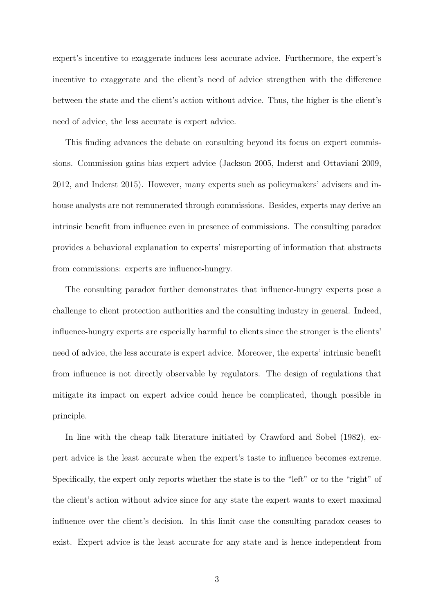expert's incentive to exaggerate induces less accurate advice. Furthermore, the expert's incentive to exaggerate and the client's need of advice strengthen with the difference between the state and the client's action without advice. Thus, the higher is the client's need of advice, the less accurate is expert advice.

This finding advances the debate on consulting beyond its focus on expert commissions. Commission gains bias expert advice (Jackson 2005, Inderst and Ottaviani 2009, 2012, and Inderst 2015). However, many experts such as policymakers' advisers and inhouse analysts are not remunerated through commissions. Besides, experts may derive an intrinsic benefit from influence even in presence of commissions. The consulting paradox provides a behavioral explanation to experts' misreporting of information that abstracts from commissions: experts are influence-hungry.

The consulting paradox further demonstrates that influence-hungry experts pose a challenge to client protection authorities and the consulting industry in general. Indeed, influence-hungry experts are especially harmful to clients since the stronger is the clients' need of advice, the less accurate is expert advice. Moreover, the experts' intrinsic benefit from influence is not directly observable by regulators. The design of regulations that mitigate its impact on expert advice could hence be complicated, though possible in principle.

In line with the cheap talk literature initiated by Crawford and Sobel (1982), expert advice is the least accurate when the expert's taste to influence becomes extreme. Specifically, the expert only reports whether the state is to the "left" or to the "right" of the client's action without advice since for any state the expert wants to exert maximal influence over the client's decision. In this limit case the consulting paradox ceases to exist. Expert advice is the least accurate for any state and is hence independent from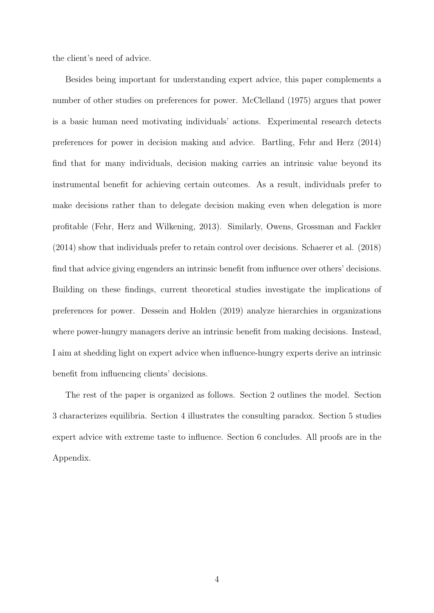the client's need of advice.

Besides being important for understanding expert advice, this paper complements a number of other studies on preferences for power. McClelland (1975) argues that power is a basic human need motivating individuals' actions. Experimental research detects preferences for power in decision making and advice. Bartling, Fehr and Herz (2014) find that for many individuals, decision making carries an intrinsic value beyond its instrumental benefit for achieving certain outcomes. As a result, individuals prefer to make decisions rather than to delegate decision making even when delegation is more profitable (Fehr, Herz and Wilkening, 2013). Similarly, Owens, Grossman and Fackler (2014) show that individuals prefer to retain control over decisions. Schaerer et al. (2018) find that advice giving engenders an intrinsic benefit from influence over others' decisions. Building on these findings, current theoretical studies investigate the implications of preferences for power. Dessein and Holden (2019) analyze hierarchies in organizations where power-hungry managers derive an intrinsic benefit from making decisions. Instead, I aim at shedding light on expert advice when influence-hungry experts derive an intrinsic benefit from influencing clients' decisions.

The rest of the paper is organized as follows. Section 2 outlines the model. Section 3 characterizes equilibria. Section 4 illustrates the consulting paradox. Section 5 studies expert advice with extreme taste to influence. Section 6 concludes. All proofs are in the Appendix.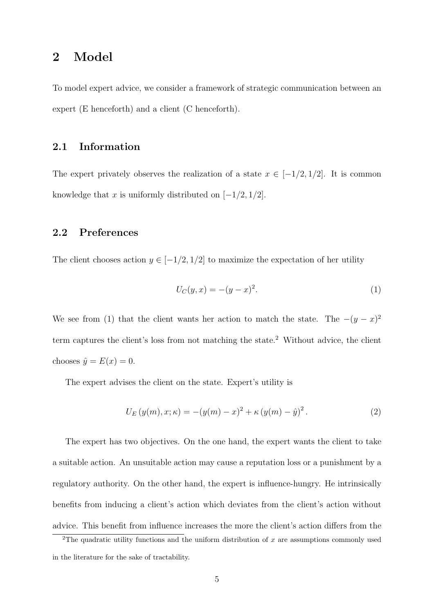# 2 Model

To model expert advice, we consider a framework of strategic communication between an expert (E henceforth) and a client (C henceforth).

#### 2.1 Information

The expert privately observes the realization of a state  $x \in [-1/2, 1/2]$ . It is common knowledge that x is uniformly distributed on  $[-1/2, 1/2]$ .

#### 2.2 Preferences

The client chooses action  $y \in [-1/2, 1/2]$  to maximize the expectation of her utility

$$
U_C(y, x) = -(y - x)^2.
$$
 (1)

We see from (1) that the client wants her action to match the state. The  $-(y-x)^2$ term captures the client's loss from not matching the state.<sup>2</sup> Without advice, the client chooses  $\hat{y} = E(x) = 0$ .

The expert advises the client on the state. Expert's utility is

$$
U_E(y(m), x; \kappa) = -(y(m) - x)^2 + \kappa (y(m) - \hat{y})^2.
$$
 (2)

The expert has two objectives. On the one hand, the expert wants the client to take a suitable action. An unsuitable action may cause a reputation loss or a punishment by a regulatory authority. On the other hand, the expert is influence-hungry. He intrinsically benefits from inducing a client's action which deviates from the client's action without advice. This benefit from influence increases the more the client's action differs from the

<sup>&</sup>lt;sup>2</sup>The quadratic utility functions and the uniform distribution of x are assumptions commonly used in the literature for the sake of tractability.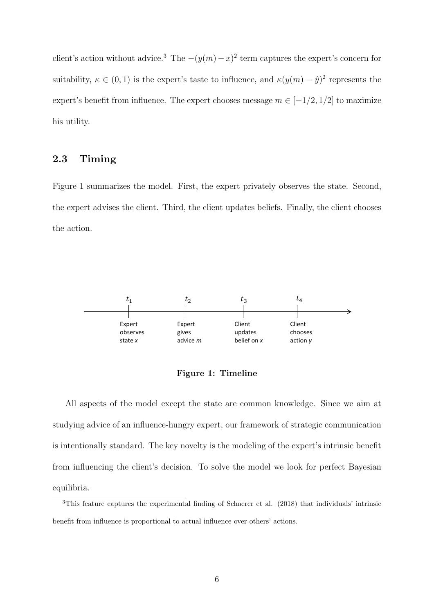client's action without advice.<sup>3</sup> The  $-(y(m)-x)^2$  term captures the expert's concern for suitability,  $\kappa \in (0,1)$  is the expert's taste to influence, and  $\kappa(y(m) - \hat{y})^2$  represents the expert's benefit from influence. The expert chooses message  $m \in [-1/2, 1/2]$  to maximize his utility.

#### 2.3 Timing

Figure 1 summarizes the model. First, the expert privately observes the state. Second, the expert advises the client. Third, the client updates beliefs. Finally, the client chooses the action.



Figure 1: Timeline

All aspects of the model except the state are common knowledge. Since we aim at studying advice of an influence-hungry expert, our framework of strategic communication is intentionally standard. The key novelty is the modeling of the expert's intrinsic benefit from influencing the client's decision. To solve the model we look for perfect Bayesian equilibria.

<sup>3</sup>This feature captures the experimental finding of Schaerer et al. (2018) that individuals' intrinsic benefit from influence is proportional to actual influence over others' actions.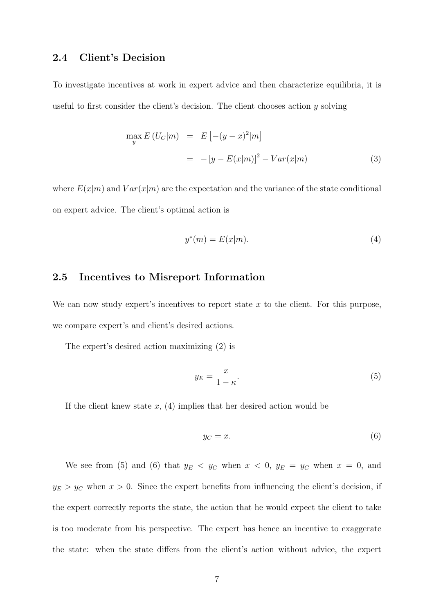#### 2.4 Client's Decision

To investigate incentives at work in expert advice and then characterize equilibria, it is useful to first consider the client's decision. The client chooses action y solving

$$
\max_{y} E(U_C|m) = E[-(y-x)^2|m] \\
= -[y - E(x|m)]^2 - Var(x|m) \tag{3}
$$

where  $E(x|m)$  and  $Var(x|m)$  are the expectation and the variance of the state conditional on expert advice. The client's optimal action is

$$
y^*(m) = E(x|m). \tag{4}
$$

#### 2.5 Incentives to Misreport Information

We can now study expert's incentives to report state  $x$  to the client. For this purpose, we compare expert's and client's desired actions.

The expert's desired action maximizing (2) is

$$
y_E = \frac{x}{1 - \kappa}.\tag{5}
$$

If the client knew state  $x$ , (4) implies that her desired action would be

$$
y_C = x.\t\t(6)
$$

We see from (5) and (6) that  $y_E < y_C$  when  $x < 0$ ,  $y_E = y_C$  when  $x = 0$ , and  $y_E > y_C$  when  $x > 0$ . Since the expert benefits from influencing the client's decision, if the expert correctly reports the state, the action that he would expect the client to take is too moderate from his perspective. The expert has hence an incentive to exaggerate the state: when the state differs from the client's action without advice, the expert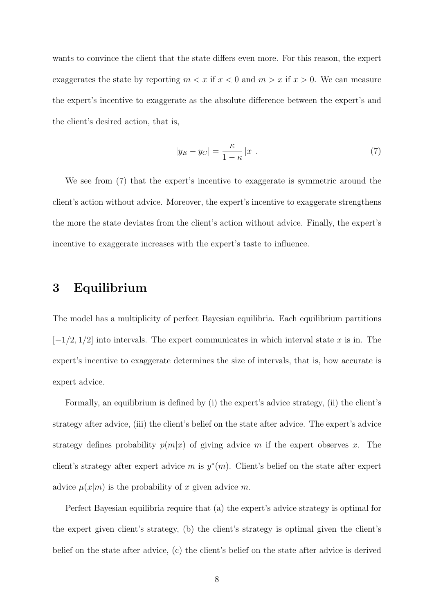wants to convince the client that the state differs even more. For this reason, the expert exaggerates the state by reporting  $m < x$  if  $x < 0$  and  $m > x$  if  $x > 0$ . We can measure the expert's incentive to exaggerate as the absolute difference between the expert's and the client's desired action, that is,

$$
|y_E - y_C| = \frac{\kappa}{1 - \kappa} |x|.
$$
 (7)

We see from (7) that the expert's incentive to exaggerate is symmetric around the client's action without advice. Moreover, the expert's incentive to exaggerate strengthens the more the state deviates from the client's action without advice. Finally, the expert's incentive to exaggerate increases with the expert's taste to influence.

# 3 Equilibrium

The model has a multiplicity of perfect Bayesian equilibria. Each equilibrium partitions  $[-1/2, 1/2]$  into intervals. The expert communicates in which interval state x is in. The expert's incentive to exaggerate determines the size of intervals, that is, how accurate is expert advice.

Formally, an equilibrium is defined by (i) the expert's advice strategy, (ii) the client's strategy after advice, (iii) the client's belief on the state after advice. The expert's advice strategy defines probability  $p(m|x)$  of giving advice m if the expert observes x. The client's strategy after expert advice m is  $y^*(m)$ . Client's belief on the state after expert advice  $\mu(x|m)$  is the probability of x given advice m.

Perfect Bayesian equilibria require that (a) the expert's advice strategy is optimal for the expert given client's strategy, (b) the client's strategy is optimal given the client's belief on the state after advice, (c) the client's belief on the state after advice is derived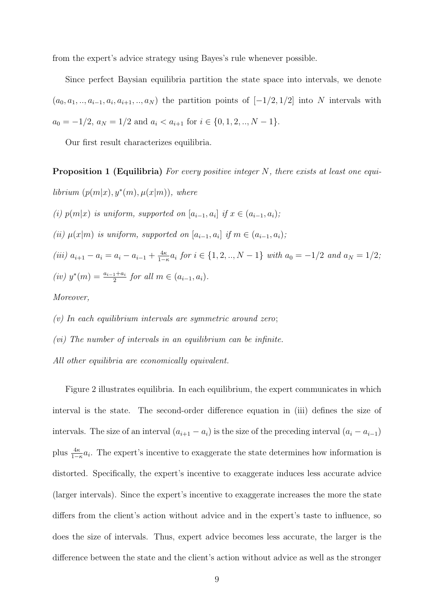from the expert's advice strategy using Bayes's rule whenever possible.

Since perfect Baysian equilibria partition the state space into intervals, we denote  $(a_0, a_1, \ldots, a_{i-1}, a_i, a_{i+1}, \ldots, a_N)$  the partition points of  $[-1/2, 1/2]$  into N intervals with  $a_0 = -1/2, a_N = 1/2$  and  $a_i < a_{i+1}$  for  $i \in \{0, 1, 2, ..., N-1\}.$ 

Our first result characterizes equilibria.

Proposition 1 (Equilibria) *For every positive integer* N*, there exists at least one equi-* $\textit{librium } (p(m|x), y^*(m), \mu(x|m)), \text{ where }$ *(i)*  $p(m|x)$  *is uniform, supported on*  $[a_{i-1}, a_i]$  *if*  $x \in (a_{i-1}, a_i)$ *; (ii)*  $\mu(x|m)$  *is uniform, supported on*  $[a_{i-1}, a_i]$  *if*  $m \in (a_{i-1}, a_i)$ *; (iii)*  $a_{i+1} - a_i = a_i - a_{i-1} + \frac{4\kappa}{1-\kappa} a_i$  *for*  $i \in \{1, 2, ..., N-1\}$  *with*  $a_0 = -1/2$  *and*  $a_N = 1/2$ *;*  $(iv)$   $y^*(m) = \frac{a_{i-1} + a_i}{2}$  *for all*  $m \in (a_{i-1}, a_i)$ *. Moreover,*

*(v) In each equilibrium intervals are symmetric around zero*;

*(vi) The number of intervals in an equilibrium can be infinite.*

*All other equilibria are economically equivalent.*

Figure 2 illustrates equilibria. In each equilibrium, the expert communicates in which interval is the state. The second-order difference equation in (iii) defines the size of intervals. The size of an interval  $(a_{i+1} - a_i)$  is the size of the preceding interval  $(a_i - a_{i-1})$ plus  $\frac{4\kappa}{1-\kappa}a_i$ . The expert's incentive to exaggerate the state determines how information is distorted. Specifically, the expert's incentive to exaggerate induces less accurate advice (larger intervals). Since the expert's incentive to exaggerate increases the more the state differs from the client's action without advice and in the expert's taste to influence, so does the size of intervals. Thus, expert advice becomes less accurate, the larger is the difference between the state and the client's action without advice as well as the stronger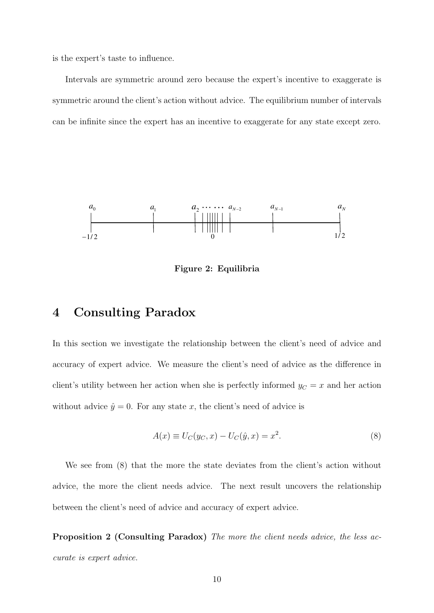is the expert's taste to influence.

Intervals are symmetric around zero because the expert's incentive to exaggerate is symmetric around the client's action without advice. The equilibrium number of intervals can be infinite since the expert has an incentive to exaggerate for any state except zero.



Figure 2: Equilibria

### 4 Consulting Paradox

In this section we investigate the relationship between the client's need of advice and accuracy of expert advice. We measure the client's need of advice as the difference in client's utility between her action when she is perfectly informed  $y_C = x$  and her action without advice  $\hat{y} = 0$ . For any state x, the client's need of advice is

$$
A(x) \equiv U_C(y_C, x) - U_C(\hat{y}, x) = x^2.
$$
 (8)

We see from (8) that the more the state deviates from the client's action without advice, the more the client needs advice. The next result uncovers the relationship between the client's need of advice and accuracy of expert advice.

Proposition 2 (Consulting Paradox) *The more the client needs advice, the less accurate is expert advice.*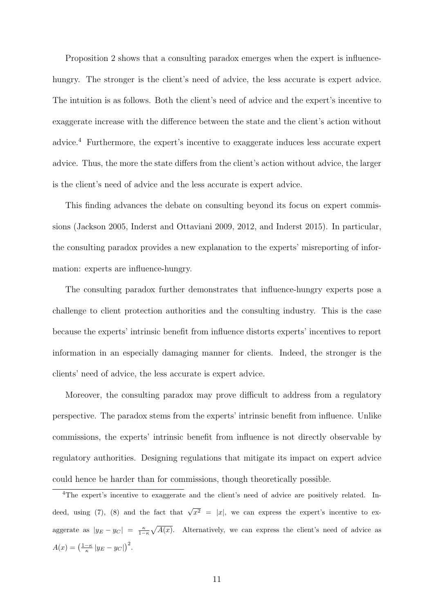Proposition 2 shows that a consulting paradox emerges when the expert is influencehungry. The stronger is the client's need of advice, the less accurate is expert advice. The intuition is as follows. Both the client's need of advice and the expert's incentive to exaggerate increase with the difference between the state and the client's action without advice.<sup>4</sup> Furthermore, the expert's incentive to exaggerate induces less accurate expert advice. Thus, the more the state differs from the client's action without advice, the larger is the client's need of advice and the less accurate is expert advice.

This finding advances the debate on consulting beyond its focus on expert commissions (Jackson 2005, Inderst and Ottaviani 2009, 2012, and Inderst 2015). In particular, the consulting paradox provides a new explanation to the experts' misreporting of information: experts are influence-hungry.

The consulting paradox further demonstrates that influence-hungry experts pose a challenge to client protection authorities and the consulting industry. This is the case because the experts' intrinsic benefit from influence distorts experts' incentives to report information in an especially damaging manner for clients. Indeed, the stronger is the clients' need of advice, the less accurate is expert advice.

Moreover, the consulting paradox may prove difficult to address from a regulatory perspective. The paradox stems from the experts' intrinsic benefit from influence. Unlike commissions, the experts' intrinsic benefit from influence is not directly observable by regulatory authorities. Designing regulations that mitigate its impact on expert advice could hence be harder than for commissions, though theoretically possible.

<sup>4</sup>The expert's incentive to exaggerate and the client's need of advice are positively related. Indeed, using (7), (8) and the fact that  $\sqrt{x^2} = |x|$ , we can express the expert's incentive to exaggerate as  $|y_E - y_C| = \frac{\kappa}{1-\kappa} \sqrt{A(x)}$ . Alternatively, we can express the client's need of advice as  $A(x) = \left(\frac{1-\kappa}{\kappa} |y_E - y_C|\right)^2.$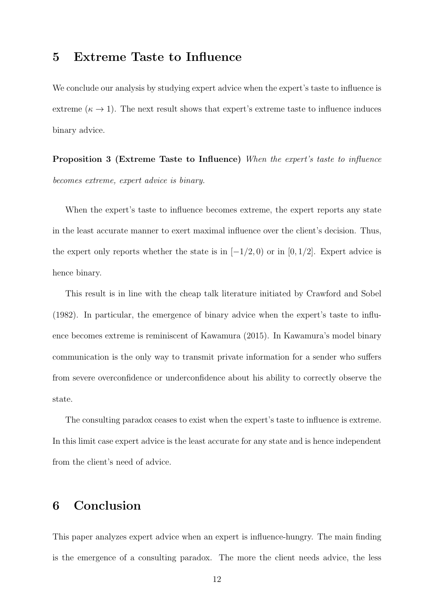## 5 Extreme Taste to Influence

We conclude our analysis by studying expert advice when the expert's taste to influence is extreme ( $\kappa \to 1$ ). The next result shows that expert's extreme taste to influence induces binary advice.

Proposition 3 (Extreme Taste to Influence) *When the expert's taste to influence becomes extreme, expert advice is binary.*

When the expert's taste to influence becomes extreme, the expert reports any state in the least accurate manner to exert maximal influence over the client's decision. Thus, the expert only reports whether the state is in  $[-1/2, 0)$  or in [0, 1/2]. Expert advice is hence binary.

This result is in line with the cheap talk literature initiated by Crawford and Sobel (1982). In particular, the emergence of binary advice when the expert's taste to influence becomes extreme is reminiscent of Kawamura (2015). In Kawamura's model binary communication is the only way to transmit private information for a sender who suffers from severe overconfidence or underconfidence about his ability to correctly observe the state.

The consulting paradox ceases to exist when the expert's taste to influence is extreme. In this limit case expert advice is the least accurate for any state and is hence independent from the client's need of advice.

## 6 Conclusion

This paper analyzes expert advice when an expert is influence-hungry. The main finding is the emergence of a consulting paradox. The more the client needs advice, the less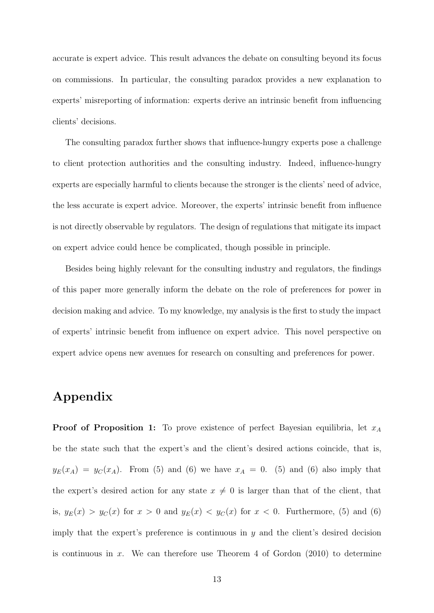accurate is expert advice. This result advances the debate on consulting beyond its focus on commissions. In particular, the consulting paradox provides a new explanation to experts' misreporting of information: experts derive an intrinsic benefit from influencing clients' decisions.

The consulting paradox further shows that influence-hungry experts pose a challenge to client protection authorities and the consulting industry. Indeed, influence-hungry experts are especially harmful to clients because the stronger is the clients' need of advice, the less accurate is expert advice. Moreover, the experts' intrinsic benefit from influence is not directly observable by regulators. The design of regulations that mitigate its impact on expert advice could hence be complicated, though possible in principle.

Besides being highly relevant for the consulting industry and regulators, the findings of this paper more generally inform the debate on the role of preferences for power in decision making and advice. To my knowledge, my analysis is the first to study the impact of experts' intrinsic benefit from influence on expert advice. This novel perspective on expert advice opens new avenues for research on consulting and preferences for power.

# Appendix

**Proof of Proposition 1:** To prove existence of perfect Bayesian equilibria, let  $x_A$ be the state such that the expert's and the client's desired actions coincide, that is,  $y_E(x_A) = y_C(x_A)$ . From (5) and (6) we have  $x_A = 0$ . (5) and (6) also imply that the expert's desired action for any state  $x \neq 0$  is larger than that of the client, that is,  $y_E(x) > y_C(x)$  for  $x > 0$  and  $y_E(x) < y_C(x)$  for  $x < 0$ . Furthermore, (5) and (6) imply that the expert's preference is continuous in  $y$  and the client's desired decision is continuous in  $x$ . We can therefore use Theorem 4 of Gordon  $(2010)$  to determine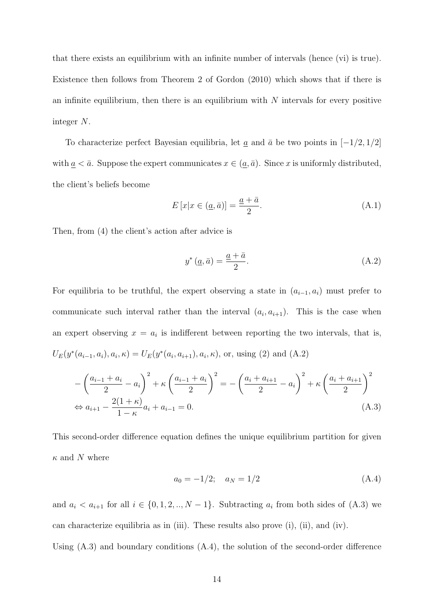that there exists an equilibrium with an infinite number of intervals (hence (vi) is true). Existence then follows from Theorem 2 of Gordon (2010) which shows that if there is an infinite equilibrium, then there is an equilibrium with  $N$  intervals for every positive integer N.

To characterize perfect Bayesian equilibria, let  $\underline{a}$  and  $\overline{a}$  be two points in [−1/2, 1/2] with  $\underline{a} < \overline{a}$ . Suppose the expert communicates  $x \in (\underline{a}, \overline{a})$ . Since x is uniformly distributed, the client's beliefs become

$$
E\left[x|x \in (\underline{a}, \bar{a})\right] = \frac{\underline{a} + \bar{a}}{2}.\tag{A.1}
$$

Then, from (4) the client's action after advice is

$$
y^*(\underline{a}, \bar{a}) = \frac{\underline{a} + \bar{a}}{2}.
$$
\n(A.2)

For equilibria to be truthful, the expert observing a state in  $(a_{i-1}, a_i)$  must prefer to communicate such interval rather than the interval  $(a_i, a_{i+1})$ . This is the case when an expert observing  $x = a_i$  is indifferent between reporting the two intervals, that is,  $U_E(y^*(a_{i-1}, a_i), a_i, \kappa) = U_E(y^*(a_i, a_{i+1}), a_i, \kappa)$ , or, using (2) and (A.2)

$$
-\left(\frac{a_{i-1}+a_i}{2}-a_i\right)^2 + \kappa \left(\frac{a_{i-1}+a_i}{2}\right)^2 = -\left(\frac{a_i+a_{i+1}}{2}-a_i\right)^2 + \kappa \left(\frac{a_i+a_{i+1}}{2}\right)^2
$$
  
\n
$$
\Leftrightarrow a_{i+1} - \frac{2(1+\kappa)}{1-\kappa}a_i + a_{i-1} = 0.
$$
\n(A.3)

This second-order difference equation defines the unique equilibrium partition for given  $\kappa$  and N where

$$
a_0 = -1/2; \quad a_N = 1/2 \tag{A.4}
$$

and  $a_i < a_{i+1}$  for all  $i \in \{0, 1, 2, \ldots, N-1\}$ . Subtracting  $a_i$  from both sides of (A.3) we can characterize equilibria as in (iii). These results also prove (i), (ii), and (iv). Using (A.3) and boundary conditions (A.4), the solution of the second-order difference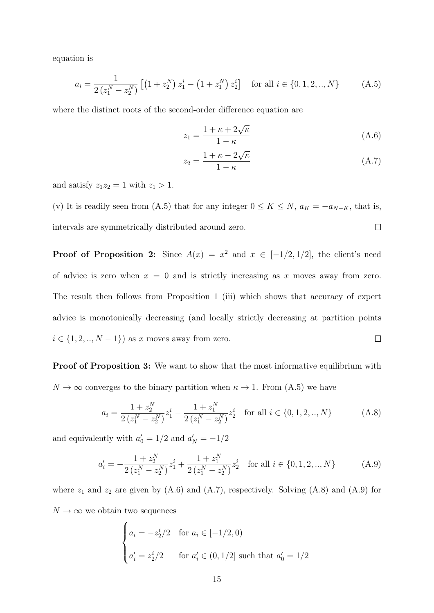equation is

$$
a_i = \frac{1}{2\left(z_1^N - z_2^N\right)} \left[ \left(1 + z_2^N\right) z_1^i - \left(1 + z_1^N\right) z_2^i \right] \quad \text{for all } i \in \{0, 1, 2, ..., N\} \tag{A.5}
$$

where the distinct roots of the second-order difference equation are

$$
z_1 = \frac{1 + \kappa + 2\sqrt{\kappa}}{1 - \kappa} \tag{A.6}
$$

$$
z_2 = \frac{1 + \kappa - 2\sqrt{\kappa}}{1 - \kappa} \tag{A.7}
$$

and satisfy  $z_1z_2 = 1$  with  $z_1 > 1$ .

(v) It is readily seen from (A.5) that for any integer  $0 \le K \le N$ ,  $a_K = -a_{N-K}$ , that is, intervals are symmetrically distributed around zero.  $\Box$ 

**Proof of Proposition 2:** Since  $A(x) = x^2$  and  $x \in [-1/2, 1/2]$ , the client's need of advice is zero when  $x = 0$  and is strictly increasing as x moves away from zero. The result then follows from Proposition 1 (iii) which shows that accuracy of expert advice is monotonically decreasing (and locally strictly decreasing at partition points  $i \in \{1, 2, ..., N-1\}$  as x moves away from zero.  $\Box$ 

Proof of Proposition 3: We want to show that the most informative equilibrium with  $N \to \infty$  converges to the binary partition when  $\kappa \to 1$ . From (A.5) we have

$$
a_{i} = \frac{1 + z_{2}^{N}}{2(z_{1}^{N} - z_{2}^{N})} z_{1}^{i} - \frac{1 + z_{1}^{N}}{2(z_{1}^{N} - z_{2}^{N})} z_{2}^{i} \quad \text{for all } i \in \{0, 1, 2, ..., N\}
$$
 (A.8)

and equivalently with  $a'_0 = 1/2$  and  $a'_N = -1/2$ 

$$
a'_{i} = -\frac{1+z_{2}^{N}}{2(z_{1}^{N}-z_{2}^{N})}z_{1}^{i} + \frac{1+z_{1}^{N}}{2(z_{1}^{N}-z_{2}^{N})}z_{2}^{i} \text{ for all } i \in \{0,1,2,..,N\}
$$
 (A.9)

where  $z_1$  and  $z_2$  are given by  $(A.6)$  and  $(A.7)$ , respectively. Solving  $(A.8)$  and  $(A.9)$  for  $N \to \infty$  we obtain two sequences

$$
\begin{cases}\na_i = -z_2^i/2 & \text{for } a_i \in [-1/2, 0) \\
a'_i = z_2^i/2 & \text{for } a'_i \in (0, 1/2] \text{ such that } a'_0 = 1/2\n\end{cases}
$$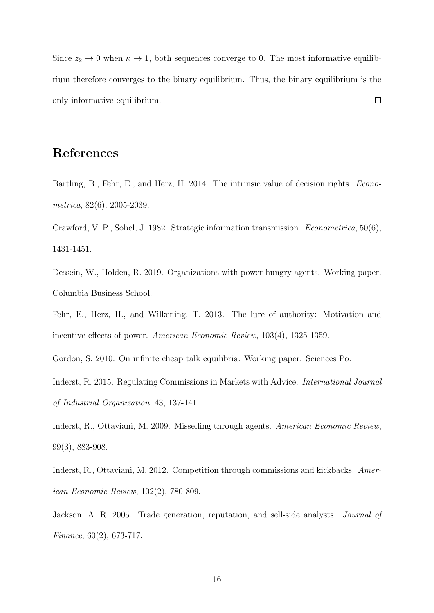Since  $z_2 \to 0$  when  $\kappa \to 1$ , both sequences converge to 0. The most informative equilibrium therefore converges to the binary equilibrium. Thus, the binary equilibrium is the only informative equilibrium.  $\Box$ 

# References

Bartling, B., Fehr, E., and Herz, H. 2014. The intrinsic value of decision rights. *Econometrica*, 82(6), 2005-2039.

Crawford, V. P., Sobel, J. 1982. Strategic information transmission. *Econometrica*, 50(6), 1431-1451.

Dessein, W., Holden, R. 2019. Organizations with power-hungry agents. Working paper. Columbia Business School.

Fehr, E., Herz, H., and Wilkening, T. 2013. The lure of authority: Motivation and incentive effects of power. *American Economic Review*, 103(4), 1325-1359.

Gordon, S. 2010. On infinite cheap talk equilibria. Working paper. Sciences Po.

Inderst, R. 2015. Regulating Commissions in Markets with Advice. *International Journal of Industrial Organization*, 43, 137-141.

Inderst, R., Ottaviani, M. 2009. Misselling through agents. *American Economic Review*, 99(3), 883-908.

Inderst, R., Ottaviani, M. 2012. Competition through commissions and kickbacks. *American Economic Review*, 102(2), 780-809.

Jackson, A. R. 2005. Trade generation, reputation, and sell-side analysts. *Journal of Finance*, 60(2), 673-717.